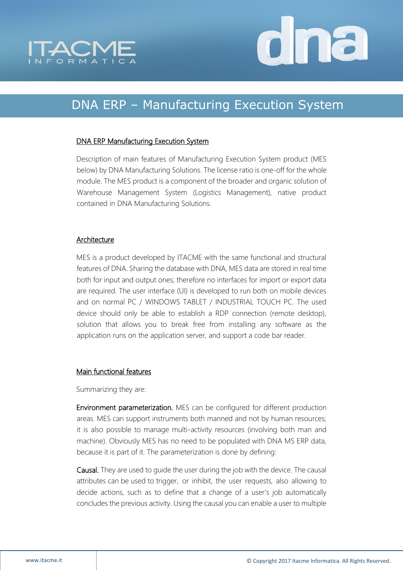



## DNA ERP – Manufacturing Execution System

## DNA ERP Manufacturing Execution System

Description of main features of Manufacturing Execution System product (MES below) by DNA Manufacturing Solutions. The license ratio is one-off for the whole module. The MES product is a component of the broader and organic solution of Warehouse Management System (Logistics Management), native product contained in DNA Manufacturing Solutions.

## Architecture

MES is a product developed by ITACME with the same functional and structural features of DNA. Sharing the database with DNA, MES data are stored in real time both for input and output ones; therefore no interfaces for import or export data are required. The user interface (UI) is developed to run both on mobile devices and on normal PC / WINDOWS TABLET / INDUSTRIAL TOUCH PC. The used device should only be able to establish a RDP connection (remote desktop), solution that allows you to break free from installing any software as the application runs on the application server, and support a code bar reader.

## Main functional features

Summarizing they are:

Environment parameterization. MES can be configured for different production areas. MES can support instruments both manned and not by human resources; it is also possible to manage multi-activity resources (involving both man and machine). Obviously MES has no need to be populated with DNA MS ERP data, because it is part of it. The parameterization is done by defining:

Causal. They are used to guide the user during the job with the device. The causal attributes can be used to trigger, or inhibit, the user requests, also allowing to decide actions, such as to define that a change of a user's job automatically concludes the previous activity. Using the causal you can enable a user to multiple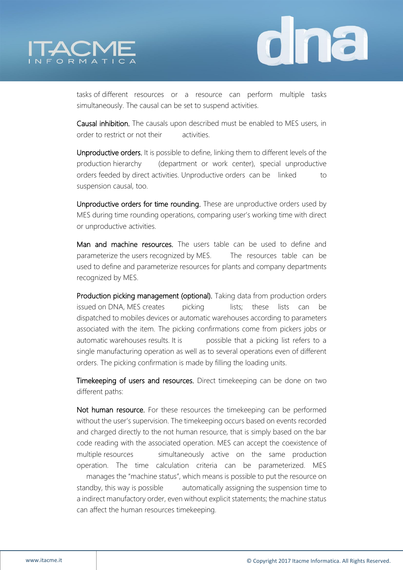



tasks of different resources or a resource can perform multiple tasks simultaneously. The causal can be set to suspend activities.

Causal inhibition. The causals upon described must be enabled to MES users, in order to restrict or not their activities.

Unproductive orders. It is possible to define, linking them to different levels of the production hierarchy (department or work center), special unproductive orders feeded by direct activities. Unproductive orders can be linked to suspension causal, too.

Unproductive orders for time rounding. These are unproductive orders used by MES during time rounding operations, comparing user's working time with direct or unproductive activities.

Man and machine resources. The users table can be used to define and parameterize the users recognized by MES. The resources table can be used to define and parameterize resources for plants and company departments recognized by MES.

Production picking management (optional). Taking data from production orders issued on DNA, MES creates picking lists; these lists can be dispatched to mobiles devices or automatic warehouses according to parameters associated with the item. The picking confirmations come from pickers jobs or automatic warehouses results. It is possible that a picking list refers to a single manufacturing operation as well as to several operations even of different orders. The picking confirmation is made by filling the loading units.

Timekeeping of users and resources. Direct timekeeping can be done on two different paths:

Not human resource. For these resources the timekeeping can be performed without the user's supervision. The timekeeping occurs based on events recorded and charged directly to the not human resource, that is simply based on the bar code reading with the associated operation. MES can accept the coexistence of multiple resources simultaneously active on the same production operation. The time calculation criteria can be parameterized. MES manages the "machine status", which means is possible to put the resource on standby, this way is possible automatically assigning the suspension time to a indirect manufactory order, even without explicit statements; the machine status can affect the human resources timekeeping.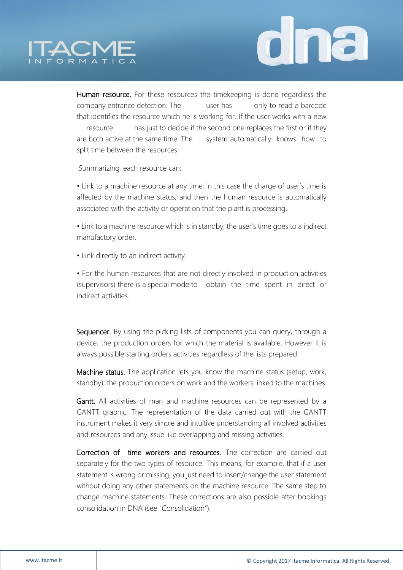



Human resource. For these resources the timekeeping is done regardless the company entrance detection. The user has only to read a barcode that identifies the resource which he is working for. If the user works with a new resource has just to decide if the second one replaces the first or if they are both active at the same time. The system automatically knows how to split time between the resources.

Summarizing, each resource can:

• Link to a machine resource at any time; in this case the charge of user's time is affected by the machine status, and then the human resource is automatically associated with the activity or operation that the plant is processing.

• Link to a machine resource which is in standby; the user's time goes to a indirect manufactory order.

• Link directly to an indirect activity.

• For the human resources that are not directly involved in production activities (supervisors) there is a special mode to obtain the time spent in direct or indirect activities.

Sequencer. By using the picking lists of components you can query, through a device, the production orders for which the material is available. However it is always possible starting orders activities regardless of the lists prepared.

Machine status. The application lets you know the machine status (setup, work, standby), the production orders on work and the workers linked to the machines.

Gantt. All activities of man and machine resources can be represented by a GANTT graphic. The representation of the data carried out with the GANTT instrument makes it very simple and intuitive understanding all involved activities and resources and any issue like overlapping and missing activities.

Correction of time workers and resources. The correction are carried out separately for the two types of resource. This means, for example, that if a user statement is wrong or missing, you just need to insert/change the user statement without doing any other statements on the machine resource. The same step to change machine statements. These corrections are also possible after bookings consolidation in DNA (see "Consolidation").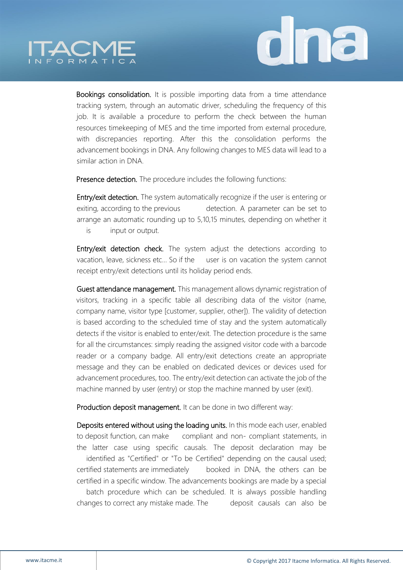



Bookings consolidation. It is possible importing data from a time attendance tracking system, through an automatic driver, scheduling the frequency of this job. It is available a procedure to perform the check between the human resources timekeeping of MES and the time imported from external procedure, with discrepancies reporting. After this the consolidation performs the advancement bookings in DNA. Any following changes to MES data will lead to a similar action in DNA.

Presence detection. The procedure includes the following functions:

Entry/exit detection. The system automatically recognize if the user is entering or exiting, according to the previous detection. A parameter can be set to arrange an automatic rounding up to 5,10,15 minutes, depending on whether it is input or output.

Entry/exit detection check. The system adjust the detections according to vacation, leave, sickness etc… So if the user is on vacation the system cannot receipt entry/exit detections until its holiday period ends.

Guest attendance management. This management allows dynamic registration of visitors, tracking in a specific table all describing data of the visitor (name, company name, visitor type [customer, supplier, other]). The validity of detection is based according to the scheduled time of stay and the system automatically detects if the visitor is enabled to enter/exit. The detection procedure is the same for all the circumstances: simply reading the assigned visitor code with a barcode reader or a company badge. All entry/exit detections create an appropriate message and they can be enabled on dedicated devices or devices used for advancement procedures, too. The entry/exit detection can activate the job of the machine manned by user (entry) or stop the machine manned by user (exit).

Production deposit management. It can be done in two different way:

Deposits entered without using the loading units. In this mode each user, enabled to deposit function, can make compliant and non- compliant statements, in the latter case using specific causals. The deposit declaration may be identified as "Certified" or "To be Certified" depending on the causal used; certified statements are immediately booked in DNA, the others can be certified in a specific window. The advancements bookings are made by a special batch procedure which can be scheduled. It is always possible handling changes to correct any mistake made. The deposit causals can also be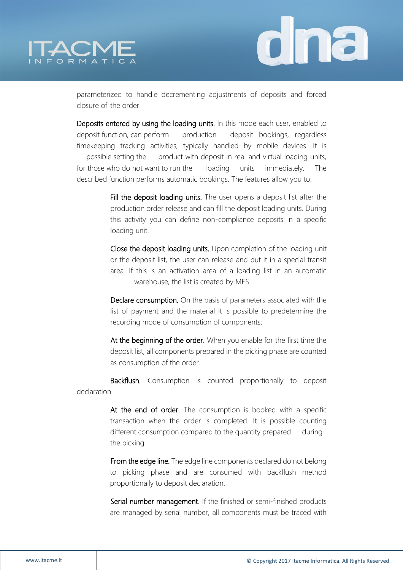



parameterized to handle decrementing adjustments of deposits and forced closure of the order.

Deposits entered by using the loading units. In this mode each user, enabled to deposit function, can perform production deposit bookings, regardless timekeeping tracking activities, typically handled by mobile devices. It is possible setting the product with deposit in real and virtual loading units, for those who do not want to run the loading units immediately. The described function performs automatic bookings. The features allow you to:

> Fill the deposit loading units. The user opens a deposit list after the production order release and can fill the deposit loading units. During this activity you can define non-compliance deposits in a specific loading unit.

> Close the deposit loading units. Upon completion of the loading unit or the deposit list, the user can release and put it in a special transit area. If this is an activation area of a loading list in an automatic warehouse, the list is created by MES.

> Declare consumption. On the basis of parameters associated with the list of payment and the material it is possible to predetermine the recording mode of consumption of components:

> At the beginning of the order. When you enable for the first time the deposit list, all components prepared in the picking phase are counted as consumption of the order.

Backflush. Consumption is counted proportionally to deposit declaration.

> At the end of order. The consumption is booked with a specific transaction when the order is completed. It is possible counting different consumption compared to the quantity prepared during the picking.

> From the edge line. The edge line components declared do not belong to picking phase and are consumed with backflush method proportionally to deposit declaration.

> Serial number management. If the finished or semi-finished products are managed by serial number, all components must be traced with